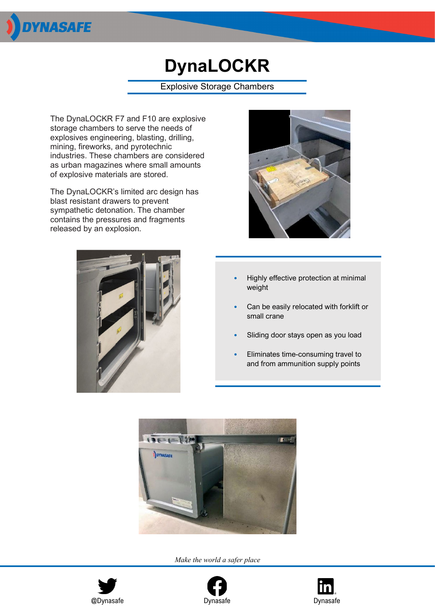

## **DynaLOCKR**

## Explosive Storage Chambers

The DynaLOCKR F7 and F10 are explosive storage chambers to serve the needs of explosives engineering, blasting, drilling, mining, fireworks, and pyrotechnic industries. These chambers are considered as urban magazines where small amounts of explosive materials are stored.

The DynaLOCKR's limited arc design has blast resistant drawers to prevent sympathetic detonation. The chamber contains the pressures and fragments released by an explosion.





- Highly effective protection at minimal weight
- Can be easily relocated with forklift or small crane
- Sliding door stays open as you load
- Eliminates time-consuming travel to and from ammunition supply points



*Make the world a safer place*